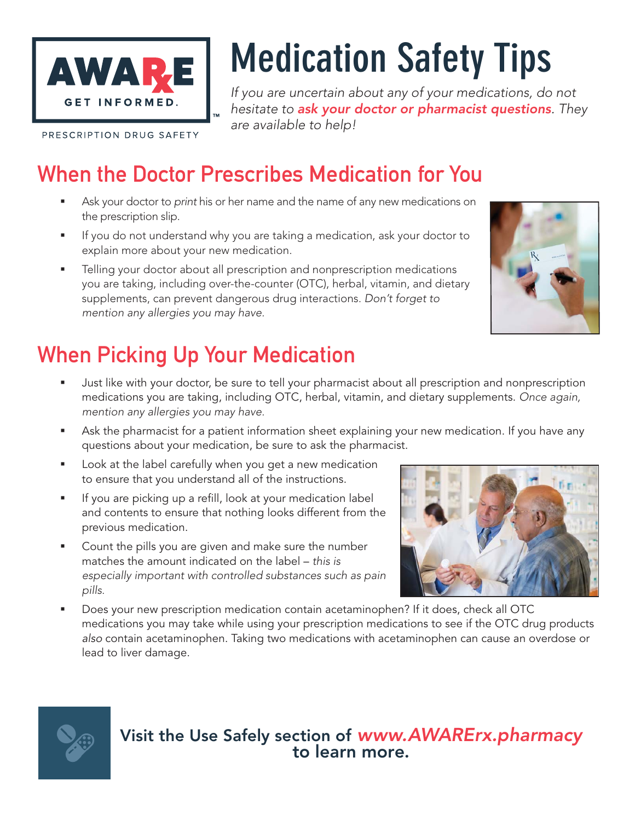

# Medication Safety Tips

If you are uncertain about any of your medications, do not hesitate to *ask your doctor or pharmacist questions*. They are available to help!

PRESCRIPTION DRUG SAFETY

#### When the Doctor Prescribes Medication for You

- **Ask your doctor to print his or her name and the name of any new medications on** the prescription slip.
- **If you do not understand why you are taking a medication, ask your doctor to** explain more about your new medication.
- **Telling your doctor about all prescription and nonprescription medications** you are taking, including over-the-counter (OTC), herbal, vitamin, and dietary supplements, can prevent dangerous drug interactions. Don't forget to mention any allergies you may have.

#### When Picking Up Your Medication

- Just like with your doctor, be sure to tell your pharmacist about all prescription and nonprescription medications you are taking, including OTC, herbal, vitamin, and dietary supplements. Once again, mention any allergies you may have.
- Ask the pharmacist for a patient information sheet explaining your new medication. If you have any questions about your medication, be sure to ask the pharmacist.
- **EXED** Look at the label carefully when you get a new medication to ensure that you understand all of the instructions.
- **If you are picking up a refill, look at your medication label** and contents to ensure that nothing looks different from the previous medication.
- **Count the pills you are given and make sure the number** matches the amount indicated on the label – this is especially important with controlled substances such as pain pills.



**Does your new prescription medication contain acetaminophen? If it does, check all OTC** medications you may take while using your prescription medications to see if the OTC drug products also contain acetaminophen. Taking two medications with acetaminophen can cause an overdose or lead to liver damage.

## **Visit the Use Safely section of** *www.AWARErx.pharmacy* **to learn more.**